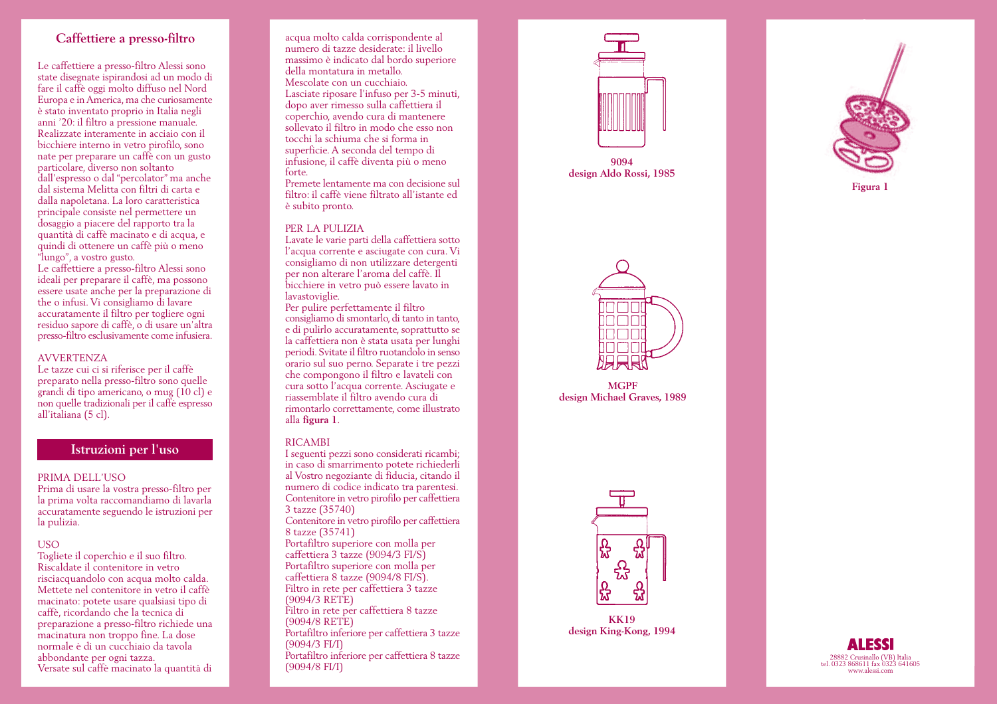# **Caffettiere a presso-filtro**

Le caffettiere a presso-filtro Alessi sono state disegnate ispirandosi ad un modo di fare il caffè oggi molto diffuso nel Nord Europa e in America, ma che curiosamente è stato inventato proprio in Italia negli anni '20: il filtro a pressione manuale. Realizzate interamente in acciaio con il bicchiere interno in vetro pirofilo, sono nate per preparare un caffè con un gusto particolare, diverso non soltanto dall'espresso o dal "percolator" ma anche dal sistema Melitta con filtri di carta e dalla napoletana. La loro caratteristica principale consiste nel permettere un dosaggio a piacere del rapporto tra la quantità di caffè macinato e di acqua, e quindi di ottenere un caffè più o meno "lungo", a vostro gusto.

Le caffettiere a presso-filtro Alessi sono ideali per preparare il caffè, ma possono essere usate anche per la preparazione di the o infusi. Vi consigliamo di lavare accuratamente il filtro per togliere ogni residuo sapore di caffè, o di usare un'altra presso-filtro esclusivamente come infusiera.

## AVVERTENZA

Le tazze cui ci si riferisce per il caffè preparato nella presso-filtro sono quelle grandi di tipo americano, o mug (10 cl) e non quelle tradizionali per il caffè espresso all'italiana (5 cl).

# **Istruzioni per l'uso**

## PRIMA DELL'USO

Prima di usare la vostra presso-filtro per la prima volta raccomandiamo di lavarla accuratamente seguendo le istruzioni per la pulizia.

### USO

Togliete il coperchio e il suo filtro. Riscaldate il contenitore in vetro risciacquandolo con acqua molto calda. Mettete nel contenitore in vetro il caffè macinato: potete usare qualsiasi tipo di caffè, ricordando che la tecnica di preparazione a presso-filtro richiede una macinatura non troppo fine. La dose normale è di un cucchiaio da tavola abbondante per ogni tazza. Versate sul caffè macinato la quantità di

acqua molto calda corrispondente al numero di tazze desiderate: il livello massimo è indicato dal bordo superiore della montatura in metallo. Mescolate con un cucchiaio. Lasciate riposare l'infuso per 3-5 minuti, dopo aver rimesso sulla caffettiera il coperchio, avendo cura di mantenere sollevato il filtro in modo che esso non tocchi la schiuma che si forma in superficie. A seconda del tempo di infusione, il caffè diventa più o meno forte.

Premete lentamente ma con decisione sul filtro: il caffè viene filtrato all'istante ed è subito pronto.

### PER LA PULIZIA

Lavate le varie parti della caffettiera sotto l'acqua corrente e asciugate con cura. Vi consigliamo di non utilizzare detergenti per non alterare l'aroma del caffè. Il bicchiere in vetro può essere lavato in lavastoviglie.

Per pulire perfettamente il filtro consigliamo di smontarlo, di tanto in tanto, e di pulirlo accuratamente, soprattutto se la caffettiera non è stata usata per lunghi periodi. Svitate il filtro ruotandolo in senso orario sul suo perno. Separate i tre pezzi che compongono il filtro e lavateli con cura sotto l'acqua corrente. Asciugate e riassemblate il filtro avendo cura di rimontarlo correttamente, come illustrato alla **figura 1**.

#### RICAMBI

I seguenti pezzi sono considerati ricambi; in caso di smarrimento potete richiederli al Vostro negoziante di fiducia, citando il numero di codice indicato tra parentesi. Contenitore in vetro pirofilo per caffettiera 3 tazze (35740) Contenitore in vetro pirofilo per caffettiera 8 tazze (35741) Portafiltro superiore con molla per caffettiera 3 tazze (9094/3 FI/S) Portafiltro superiore con molla per caffettiera 8 tazze (9094/8 FI/S). Filtro in rete per caffettiera 3 tazze (9094/3 RETE) Filtro in rete per caffettiera 8 tazze (9094/8 RETE) Portafiltro inferiore per caffettiera 3 tazze (9094/3 FI/I) Portafiltro inferiore per caffettiera 8 tazze (9094/8 FI/I)



**9094 design Aldo Rossi, 1985**



**MGPF design Michael Graves, 1989**





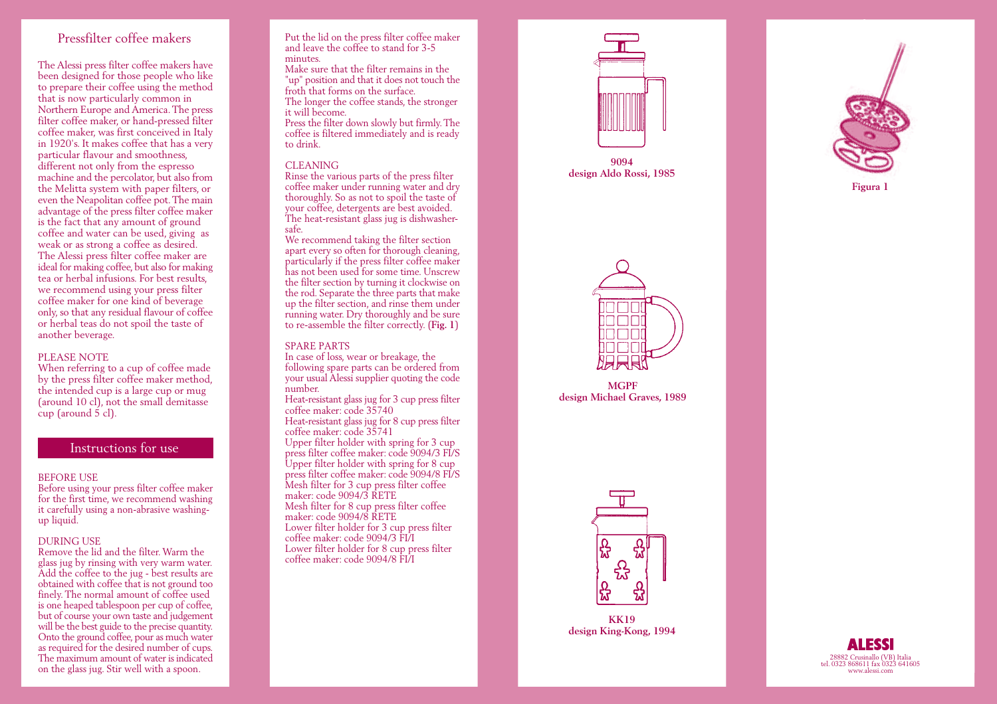# Pressfilter coffee makers

The Alessi press filter coffee makers have been designed for those people who like to prepare their coffee using the method that is now particularly common in Northern Europe and America. The press filter coffee maker, or hand-pressed filter coffee maker, was first conceived in Italy in 1920's. It makes coffee that has a very particular flavour and smoothness, different not only from the espresso machine and the percolator, but also from the Melitta system with paper filters, or even the Neapolitan coffee pot. The main advantage of the press filter coffee maker is the fact that any amount of ground coffee and water can be used, giving as weak or as strong a coffee as desired. The Alessi press filter coffee maker are ideal for making coffee, but also for making tea or herbal infusions. For best results, we recommend using your press filter coffee maker for one kind of beverage only, so that any residual flavour of coffee or herbal teas do not spoil the taste of another beverage.

### PLEASE NOTE

When referring to a cup of coffee made by the press filter coffee maker method, the intended cup is a large cup or mug (around 10 cl), not the small demitasse cup (around 5 cl).

# Instructions for use

### BEFORE USE

Before using your press filter coffee maker for the first time, we recommend washing it carefully using a non-abrasive washingup liquid.

#### DURING USE

Remove the lid and the filter. Warm the <sup>g</sup>lass jug by rinsing with very warm water. Add the coffee to the jug - best results are obtained with coffee that is not ground too finely. The normal amount of coffee used is one heaped tablespoon per cup of coffee, but of course your own taste and judgement will be the best guide to the precise quantity. Onto the ground coffee, pour as much water as required for the desired number of cups. The maximum amount of water is indicated on the glass jug. Stir well with a spoon.

#### Put the lid on the press filter coffee maker and leave the coffee to stand for 3-5 minutes.

Make sure that the filter remains in the "up" position and that it does not touch the froth that forms on the surface. The longer the coffee stands, the stronger it will become.

Press the filter down slowly but firmly. The coffee is filtered immediately and is ready to drink.

#### CLEANING

Rinse the various parts of the press filter coffee maker under running water and dry thoroughly. So as not to spoil the taste of your coffee, detergents are best avoided. The heat-resistant glass jug is dishwashersafe.

We recommend taking the filter section apart every so often for thorough cleaning, particularly if the press filter coffee maker has not been used for some time. Unscrew the filter section by turning it clockwise on the rod. Separate the three parts that make up the filter section, and rinse them under running water. Dry thoroughly and be sure to re-assemble the filter correctly. (**Fig. 1**)

#### SPARE PARTS

In case of loss, wear or breakage, the following spare parts can be ordered from your usual Alessi supplier quoting the code number.

Heat-resistant glass jug for 3 cup press filter coffee maker: code 35740 Heat-resistant glass jug for 8 cup press filter

coffee maker: code 35741

Upper filter holder with spring for 3 cup press filter coffee maker: code 9094/3 FI/S Upper filter holder with spring for 8 cup press filter coffee maker: code 9094/8 FI/S Mesh filter for 3 cup press filter coffee maker: code 9094/3 RETE Mesh filter for 8 cup press filter coffee maker: code 9094/8 RETE Lower filter holder for 3 cup press filter coffee maker: code 9094/3 FI/I Lower filter holder for 8 cup press filter coffee maker: code 9094/8 FI/I



**9094 design Aldo Rossi, 1985**



**MGPF design Michael Graves, 1989**





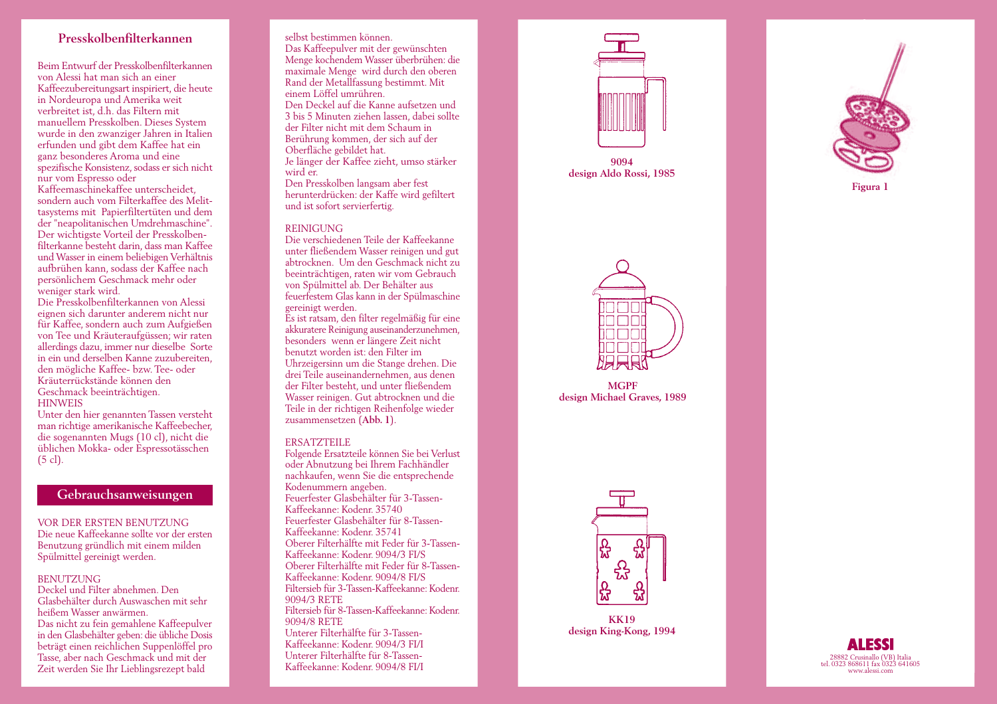# **Presskolbenfilterkannen**

Beim Entwurf der Presskolbenfilterkannen von Alessi hat man sich an einer Kaffeezubereitungsart inspiriert, die heute in Nordeuropa und Amerika weit verbreitet ist, d.h. das Filtern mit manuellem Presskolben. Dieses System wurde in den zwanziger Jahren in Italien erfunden und gibt dem Kaffee hat ein ganz besonderes Aroma und eine spezifische Konsistenz, sodass er sich nicht nur vom Espresso oder

Kaffeemaschinekaffee unterscheidet, sondern auch vom Filterkaffee des Melittasystems mit Papierfiltertüten und dem der "neapolitanischen Umdrehmaschine". Der wichtigste Vorteil der Presskolbenfilterkanne besteht darin, dass man Kaffee und Wasser in einem beliebigen Verhältnis aufbrühen kann, sodass der Kaffee nach persönlichem Geschmack mehr oder weniger stark wird.

Die Presskolbenfilterkannen von Alessi eignen sich darunter anderem nicht nur für Kaffee, sondern auch zum Aufgießen von Tee und Kräuteraufgüssen; wir raten allerdings dazu, immer nur dieselbe Sorte in ein und derselben Kanne zuzubereiten, den mögliche Kaffee- bzw. Tee- oder Kräuterrückstände können den Geschmack beeinträchtigen. **HINWEIS** 

Unter den hier genannten Tassen versteht man richtige amerikanische Kaffeebecher, die sogenannten Mugs (10 cl), nicht die üblichen Mokka- oder Espressotässchen (5 cl).

# **Gebrauchsanweisungen**

VOR DER ERSTEN BENUTZUNG

Die neue Kaffeekanne sollte vor der ersten Benutzung gründlich mit einem milden Spülmittel gereinigt werden.

### BENUTZUNG

Deckel und Filter abnehmen. Den Glasbehälter durch Auswaschen mit sehr heißem Wasser anwärmen. Das nicht zu fein gemahlene Kaffeepulver in den Glasbehälter geben: die übliche Dosis beträgt einen reichlichen Suppenlöffel pro Tasse, aber nach Geschmack und mit der Zeit werden Sie Ihr Lieblingsrezept bald

#### selbst bestimmen können.

Das Kaffeepulver mit der gewünschten Menge kochendem Wasser überbrühen: die maximale Menge wird durch den oberen Rand der Metallfassung bestimmt. Mit einem Löffel umrühren. Den Deckel auf die Kanne aufsetzen und 3 bis 5 Minuten ziehen lassen, dabei sollte der Filter nicht mit dem Schaum in Berührung kommen, der sich auf der Oberfläche gebildet hat.

Je länger der Kaffee zieht, umso stärker wird er.

Den Presskolben langsam aber fest herunterdrücken: der Kaffe wird gefiltert und ist sofort servierfertig.

### REINIGUNG

Die verschiedenen Teile der Kaffeekanne unter fließendem Wasser reinigen und gut abtrocknen. Um den Geschmack nicht zu beeinträchtigen, raten wir vom Gebrauch von Spülmittel ab. Der Behälter aus feuerfestem Glas kann in der Spülmaschine gereinigt werden.

Es ist ratsam, den filter regelmäßig für eine akkuratere Reinigung auseinanderzunehmen, besonders wenn er längere Zeit nicht benutzt worden ist: den Filter im Uhrzeigersinn um die Stange drehen. Die drei Teile auseinandernehmen, aus denen der Filter besteht, und unter fließendem Wasser reinigen. Gut abtrocknen und die Teile in der richtigen Reihenfolge wieder zusammensetzen (**Abb. 1**).

#### ERSATZTEILE

Folgende Ersatzteile können Sie bei Verlust oder Abnutzung bei Ihrem Fachhändler nachkaufen, wenn Sie die entsprechende Kodenummern angeben. Feuerfester Glasbehälter für 3-Tassen-Kaffeekanne: Kodenr. 35740 Feuerfester Glasbehälter für 8-Tassen-Kaffeekanne: Kodenr. 35741 Oberer Filterhälfte mit Feder für 3-Tassen-Kaffeekanne: Kodenr. 9094/3 FI/S Oberer Filterhälfte mit Feder für 8-Tassen-Kaffeekanne: Kodenr. 9094/8 FI/S Filtersieb für 3-Tassen-Kaffeekanne: Kodenr. 9094/3 RETE Filtersieb für 8-Tassen-Kaffeekanne: Kodenr. 9094/8 RETE Unterer Filterhälfte für 3-Tassen-Kaffeekanne: Kodenr. 9094/3 FI/I Unterer Filterhälfte für 8-Tassen-Kaffeekanne: Kodenr. 9094/8 FI/I 28882 Crusinallo (VB) Italia tel. 0323 868611 fax 0323 641605 www.alessi.com



**9094 design Aldo Rossi, 1985**





**MGPF design Michael Graves, 1989**



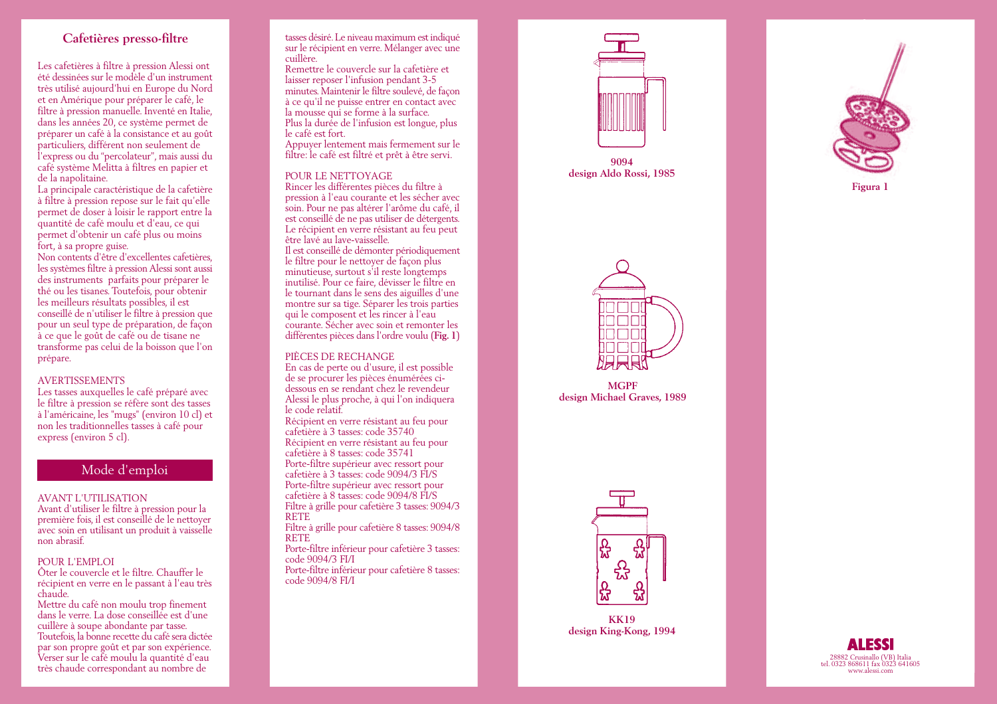# **Cafetières presso-filtre**

Les cafetières à filtre à pression Alessi ont été dessinées sur le modèle d'un instrument très utilisé aujourd'hui en Europe du Nord et en Amérique pour préparer le café, le filtre à pression manuelle. Inventé en Italie, dans les années 20, ce système permet de préparer un café à la consistance et au goût particuliers, différent non seulement de l'express ou du "percolateur", mais aussi du café système Melitta à filtres en papier et de la napolitaine.

La principale caractéristique de la cafetière à filtre à pression repose sur le fait qu'elle permet de doser à loisir le rapport entre la quantité de café moulu et d'eau, ce qui permet d'obtenir un café plus ou moins fort, à sa propre guise.

Non contents d'être d'excellentes cafetières, les systèmes filtre à pression Alessi sont aussi des instruments parfaits pour préparer le thé ou les tisanes. Toutefois, pour obtenir les meilleurs résultats possibles, il est conseillé de n'utiliser le filtre à pression que pour un seul type de préparation, de façon à ce que le goût de café ou de tisane ne transforme pas celui de la boisson que l'on prépare.

## AVERTISSEMENTS

Les tasses auxquelles le café préparé avec le filtre à pression se réfère sont des tasses à l'américaine, les "mugs" (environ 10 cl) et non les traditionnelles tasses à café pour express (environ 5 cl).

# Mode d'emploi

### AVANT L'UTILISATION

Avant d'utiliser le filtre à pression pour la première fois, il est conseillé de le nettoyer avec soin en utilisant un produit à vaisselle non abrasif.

### POUR L'EMPLOI

Ôter le couvercle et le filtre. Chauffer le récipient en verre en le passant à l'eau très chaude.

Mettre du café non moulu trop finement dans le verre. La dose conseillée est d'une cuillère à soupe abondante par tasse. Toutefois, la bonne recette du café sera dictée par son propre goût et par son expérience. Verser sur le café moulu la quantité d'eau très chaude correspondant au nombre de

tasses désiré. Le niveau maximum est indiqué sur le récipient en verre. Mélanger avec une cuillère.

Remettre le couvercle sur la cafetière et laisser reposer l'infusion pendant 3-5 minutes. Maintenir le filtre soulevé, de façon à ce qu'il ne puisse entrer en contact avec la mousse qui se forme à la surface. Plus la durée de l'infusion est longue, plus le café est fort.

Appuyer lentement mais fermement sur le filtre: le café est filtré et prêt à être servi.

### POUR LE NETTOYAGE

Rincer les différentes pièces du filtre à pression à l'eau courante et les sécher avec soin. Pour ne pas altérer l'arôme du café, il est conseillé de ne pas utiliser de détergents. Le récipient en verre résistant au feu peut être lavé au lave-vaisselle.

Il est conseillé de démonter périodiquement le filtre pour le nettoyer de façon plus minutieuse, surtout s'il reste longtemps inutilisé. Pour ce faire, dévisser le filtre en le tournant dans le sens des aiguilles d'une montre sur sa tige. Séparer les trois parties qui le composent et les rincer à l'eau courante. Sécher avec soin et remonter les différentes pièces dans l'ordre voulu (**Fig. 1**)

### PIÈCES DE RECHANGE

En cas de perte ou d'usure, il est possible de se procurer les pièces énumérées cidessous en se rendant chez le revendeur Alessi le plus proche, à qui l'on indiquera le code relatif.

Récipient en verre résistant au feu pour cafetière à 3 tasses: code 35740 Récipient en verre résistant au feu pour cafetière à 8 tasses: code 35741 Porte-filtre supérieur avec ressort pour cafetière à 3 tasses: code 9094/3 FI/S Porte-filtre supérieur avec ressort pour cafetière à 8 tasses: code 9094/8 FI/S Filtre à grille pour cafetière 3 tasses: 9094/3 RETE

Filtre à grille pour cafetière 8 tasses: 9094/8 RETE

Porte-filtre inférieur pour cafetière 3 tasses: code 9094/3 FI/I Porte-filtre inférieur pour cafetière 8 tasses: code 9094/8 FI/I



**9094 design Aldo Rossi, 1985**



**MGPF design Michael Graves, 1989**





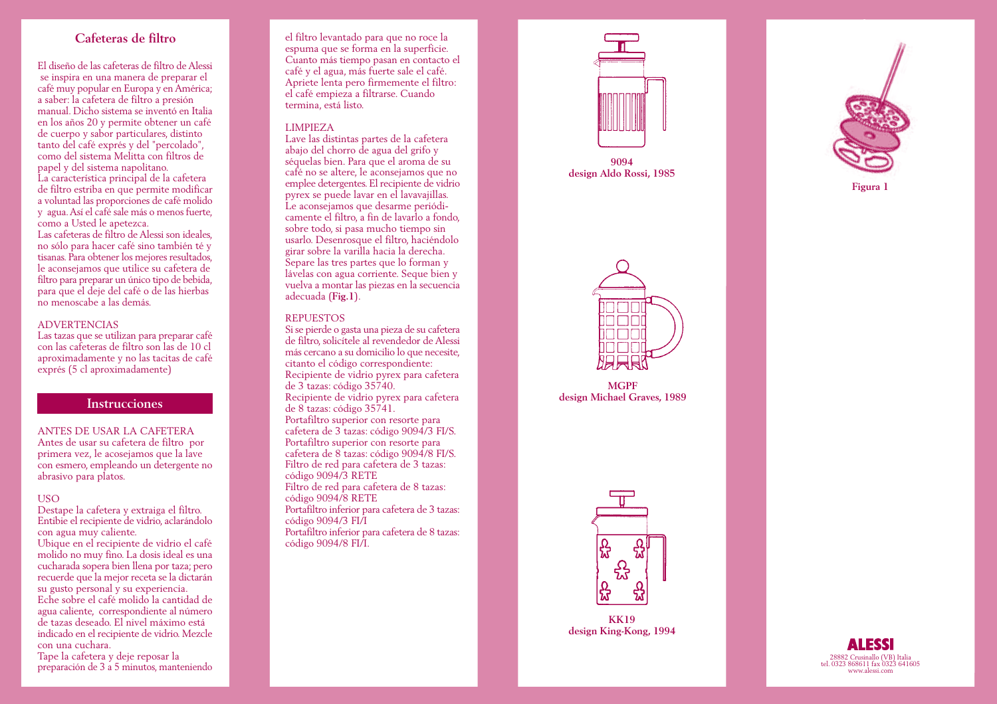# **Cafeteras de filtro**

El diseño de las cafeteras de filtro de Alessi se inspira en una manera de preparar el café muy popular en Europa y en América; a saber: la cafetera de filtro a presión manual. Dicho sistema se inventó en Italia en los años 20 y permite obtener un café de cuerpo y sabor particulares, distinto tanto del café exprés y del "percolado", como del sistema Melitta con filtros de papel y del sistema napolitano. La característica principal de la cafetera

de filtro estriba en que permite modificar a voluntad las proporciones de café molido y agua. Así el café sale más o menos fuerte, como a Usted le apetezca.

Las cafeteras de filtro de Alessi son ideales, no sólo para hacer café sino también té y tisanas. Para obtener los mejores resultados, le aconsejamos que utilice su cafetera de filtro para preparar un único tipo de bebida, para que el deje del café o de las hierbas no menoscabe a las demás.

## ADVERTENCIAS

Las tazas que se utilizan para preparar café con las cafeteras de filtro son las de 10 cl aproximadamente y no las tacitas de café exprés (5 cl aproximadamente)

# **Instrucciones**

### ANTES DE USAR LA CAFETERA

Antes de usar su cafetera de filtro por primera vez, le acosejamos que la lave con esmero, empleando un detergente no abrasivo para platos.

### **USO**

Destape la cafetera y extraiga el filtro. Entibie el recipiente de vidrio, aclarándolo con agua muy caliente.

Ubique en el recipiente de vidrio el café molido no muy fino. La dosis ideal es una cucharada sopera bien llena por taza; pero recuerde que la mejor receta se la dictarán su gusto personal y su experiencia.

Eche sobre el café molido la cantidad de agua caliente, correspondiente al n úmero de tazas deseado. El nivel máximo está indicado en el recipiente de vidrio. Mezcle con una cuchara.

Tape la cafetera y deje reposar la preparación de 3 a 5 minutos, manteniendo

el filtro levantado para que no roce la espuma que se forma en la superficie. Cuanto más tiempo pasan en contacto el café y el agua, más fuerte sale el café. Apriete lenta pero firmemente el filtro: el café empieza a filtrarse. Cuando termina, está listo.

### LIMPIEZA

Lave las distintas partes de la cafetera abajo del chorro de agua del grifo y séquelas bien. Para que el aroma de su café no se altere, le aconsejamos que no emplee detergentes. El recipiente de vidrio pyrex se puede lavar en el lavavajillas. Le aconsejamos que desarme periódicamente el filtro, a fin de lavarlo a fondo, sobre todo, si pasa mucho tiempo sin usarlo. Desenrosque el filtro, haciéndolo <sup>g</sup>irar sobre la varilla hacia la derecha. Separe las tres partes que lo forman y lávelas con agua corriente. Seque bien y vuelva a montar las piezas en la secuencia adecuada (**Fig.1**).

## **REPUESTOS**

Si se pierde o gasta una pieza de su cafetera de filtro, solicítele al revendedor de Alessi más cercano a su domicilio lo que necesite, citanto el código correspondiente: Recipiente de vidrio pyrex para cafetera de 3 tazas: código 35740. Recipiente de vidrio pyrex para cafetera de 8 tazas: código 35741. Portafiltro superior con resorte para cafetera de 3 tazas: código 9094/3 FI/S. Portafiltro superior con resorte para cafetera de 8 tazas: código 9094/8 FI/S. Filtro de red para cafetera de 3 tazas: código 9094/3 RETE Filtro de red para cafetera de 8 tazas: código 9094/8 RETE Portafiltro inferior para cafetera de 3 tazas: código 9094/3 FI/I Portafiltro inferior para cafetera de 8 tazas: código 9094/8 FI/I.



**9094 design Aldo Rossi, 1985**



**MGPF design Michael Graves, 1989**